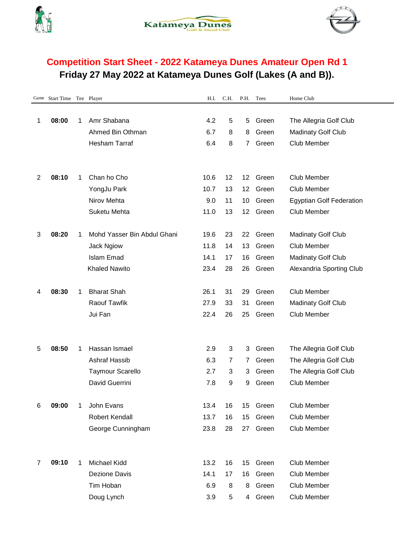





## **Competition Start Sheet - 2022 Katameya Dunes Amateur Open Rd 1 Friday 27 May 2022 at Katameya Dunes Golf (Lakes (A and B)).**

|                | Game Start Time Tee Player |             |                             | H.I. | C.H. | P.H. | Tees  | Home Club                       |
|----------------|----------------------------|-------------|-----------------------------|------|------|------|-------|---------------------------------|
|                |                            |             |                             |      |      |      |       |                                 |
| 1              | 08:00                      | 1           | Amr Shabana                 | 4.2  | 5    | 5    | Green | The Allegria Golf Club          |
|                |                            |             | Ahmed Bin Othman            | 6.7  | 8    | 8    | Green | <b>Madinaty Golf Club</b>       |
|                |                            |             | <b>Hesham Tarraf</b>        | 6.4  | 8    | 7    | Green | <b>Club Member</b>              |
|                |                            |             |                             |      |      |      |       |                                 |
|                |                            |             |                             |      |      |      |       |                                 |
| 2              | 08:10                      | $\mathbf 1$ | Chan ho Cho                 | 10.6 | 12   | 12   | Green | Club Member                     |
|                |                            |             | YongJu Park                 | 10.7 | 13   | 12   | Green | Club Member                     |
|                |                            |             | Nirov Mehta                 | 9.0  | 11   | 10   | Green | <b>Egyptian Golf Federation</b> |
|                |                            |             | Suketu Mehta                | 11.0 | 13   | 12   | Green | <b>Club Member</b>              |
|                |                            |             |                             |      |      |      |       |                                 |
| 3              | 08:20                      | 1           | Mohd Yasser Bin Abdul Ghani | 19.6 | 23   | 22   | Green | <b>Madinaty Golf Club</b>       |
|                |                            |             | <b>Jack Ngiow</b>           | 11.8 | 14   | 13   | Green | <b>Club Member</b>              |
|                |                            |             | <b>Islam Emad</b>           | 14.1 | 17   | 16   | Green | <b>Madinaty Golf Club</b>       |
|                |                            |             | <b>Khaled Nawito</b>        | 23.4 | 28   | 26   | Green | Alexandria Sporting Club        |
|                |                            |             |                             |      |      |      |       |                                 |
| 4              | 08:30                      | 1           | <b>Bharat Shah</b>          | 26.1 | 31   | 29   | Green | Club Member                     |
|                |                            |             | <b>Raouf Tawfik</b>         | 27.9 | 33   | 31   | Green | <b>Madinaty Golf Club</b>       |
|                |                            |             | Jui Fan                     | 22.4 | 26   | 25   | Green | <b>Club Member</b>              |
|                |                            |             |                             |      |      |      |       |                                 |
|                |                            |             |                             |      |      |      |       |                                 |
| 5              | 08:50                      | 1           | Hassan Ismael               | 2.9  | 3    | 3    | Green | The Allegria Golf Club          |
|                |                            |             | Ashraf Hassib               | 6.3  | 7    | 7    | Green | The Allegria Golf Club          |
|                |                            |             | <b>Taymour Scarello</b>     | 2.7  | 3    | 3    | Green | The Allegria Golf Club          |
|                |                            |             | David Guerrini              | 7.8  | 9    | 9    | Green | Club Member                     |
|                |                            |             |                             |      |      |      |       |                                 |
| 6              | 09:00                      | 1           | John Evans                  | 13.4 | 16   | 15   | Green | Club Member                     |
|                |                            |             | <b>Robert Kendall</b>       | 13.7 | 16   | 15   | Green | <b>Club Member</b>              |
|                |                            |             | George Cunningham           | 23.8 | 28   | 27   | Green | Club Member                     |
|                |                            |             |                             |      |      |      |       |                                 |
|                |                            |             |                             |      |      |      |       |                                 |
| $\overline{7}$ | 09:10                      | 1           | <b>Michael Kidd</b>         | 13.2 | 16   | 15   | Green | Club Member                     |
|                |                            |             | <b>Dezione Davis</b>        | 14.1 | 17   | 16   | Green | Club Member                     |
|                |                            |             | Tim Hoban                   | 6.9  | 8    | 8    | Green | Club Member                     |
|                |                            |             | Doug Lynch                  | 3.9  | 5    | 4    | Green | Club Member                     |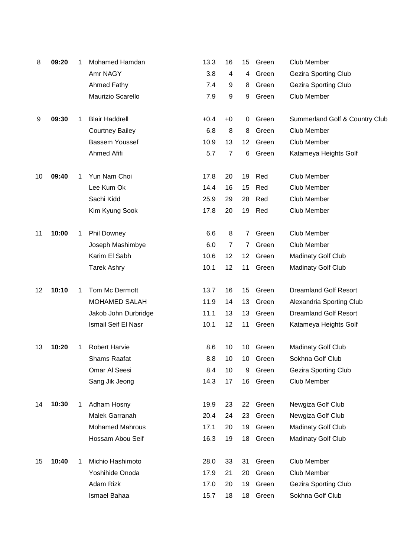| 8       | 09:20 | 1 | Mohamed Hamdan         | 13.3   | 16             | 15                | Green    | Club Member                    |
|---------|-------|---|------------------------|--------|----------------|-------------------|----------|--------------------------------|
|         |       |   | Amr NAGY               | 3.8    | 4              | 4                 | Green    | <b>Gezira Sporting Club</b>    |
|         |       |   | <b>Ahmed Fathy</b>     | 7.4    | 9              | 8                 | Green    | <b>Gezira Sporting Club</b>    |
|         |       |   | Maurizio Scarello      | 7.9    | 9              | 9                 | Green    | <b>Club Member</b>             |
| 9       | 09:30 | 1 | <b>Blair Haddrell</b>  | $+0.4$ | $+0$           | 0                 | Green    | Summerland Golf & Country Club |
|         |       |   | <b>Courtney Bailey</b> | 6.8    | 8              | 8                 | Green    | <b>Club Member</b>             |
|         |       |   | Bassem Youssef         | 10.9   | 13             | $12 \overline{ }$ | Green    | Club Member                    |
|         |       |   | <b>Ahmed Afifi</b>     | 5.7    | $\overline{7}$ | 6                 | Green    | Katameya Heights Golf          |
| 10      | 09:40 | 1 | Yun Nam Choi           | 17.8   | 20             | 19                | Red      | Club Member                    |
|         |       |   | Lee Kum Ok             | 14.4   | 16             | 15                | Red      | <b>Club Member</b>             |
|         |       |   | Sachi Kidd             | 25.9   | 29             | 28                | Red      | Club Member                    |
|         |       |   | Kim Kyung Sook         | 17.8   | 20             | 19                | Red      | <b>Club Member</b>             |
| 11      | 10:00 | 1 | <b>Phil Downey</b>     | 6.6    | 8              | $\overline{7}$    | Green    | Club Member                    |
|         |       |   | Joseph Mashimbye       | 6.0    | 7              | 7                 | Green    | Club Member                    |
|         |       |   | Karim El Sabh          | 10.6   | 12             | 12 <sup>2</sup>   | Green    | <b>Madinaty Golf Club</b>      |
|         |       |   | <b>Tarek Ashry</b>     | 10.1   | 12             | 11                | Green    | <b>Madinaty Golf Club</b>      |
| $12 \,$ | 10:10 | 1 | Tom Mc Dermott         | 13.7   | 16             | 15                | Green    | <b>Dreamland Golf Resort</b>   |
|         |       |   | <b>MOHAMED SALAH</b>   | 11.9   | 14             | 13                | Green    | Alexandria Sporting Club       |
|         |       |   | Jakob John Durbridge   | 11.1   | 13             | 13                | Green    | <b>Dreamland Golf Resort</b>   |
|         |       |   | Ismail Seif El Nasr    | 10.1   | 12             | 11                | Green    | Katameya Heights Golf          |
| 13      | 10:20 | 1 | <b>Robert Harvie</b>   | 8.6    | 10             |                   | 10 Green | <b>Madinaty Golf Club</b>      |
|         |       |   | Shams Raafat           | 8.8    | 10             | 10                | Green    | Sokhna Golf Club               |
|         |       |   | Omar Al Seesi          | 8.4    | 10             | 9                 | Green    | <b>Gezira Sporting Club</b>    |
|         |       |   | Sang Jik Jeong         | 14.3   | 17             | 16                | Green    | Club Member                    |
| 14      | 10:30 | 1 | Adham Hosny            | 19.9   | 23             | 22                | Green    | Newgiza Golf Club              |
|         |       |   | Malek Garranah         | 20.4   | 24             | 23                | Green    | Newgiza Golf Club              |
|         |       |   | <b>Mohamed Mahrous</b> | 17.1   | 20             | 19                | Green    | <b>Madinaty Golf Club</b>      |
|         |       |   | Hossam Abou Seif       | 16.3   | 19             | 18                | Green    | <b>Madinaty Golf Club</b>      |
| 15      | 10:40 | 1 | Michio Hashimoto       | 28.0   | 33             | 31                | Green    | Club Member                    |
|         |       |   | Yoshihide Onoda        | 17.9   | 21             | 20                | Green    | Club Member                    |
|         |       |   | Adam Rizk              | 17.0   | 20             | 19                | Green    | <b>Gezira Sporting Club</b>    |
|         |       |   | Ismael Bahaa           | 15.7   | 18             | 18                | Green    | Sokhna Golf Club               |